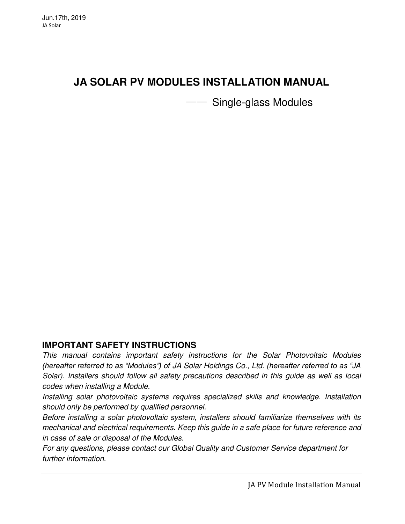# **JA SOLAR PV MODULES INSTALLATION MANUAL**

**Single-glass Modules** 

### **IMPORTANT SAFETY INSTRUCTIONS**

This manual contains important safety instructions for the Solar Photovoltaic Modules *(hereafter referred to as "Modules") of* JA Solar Holdings Co., Ltd. *(hereafter referred to as "JA*  Solar). Installers should follow all safety precautions described in this guide as well as local codes when installing a Module.

Installing solar photovoltaic systems requires specialized skills and knowledge. Installation should only be performed by qualified personnel.

Before installing a solar photovoltaic system, installers should familiarize themselves with its mechanical and electrical requirements. Keep this guide in a safe place for future reference and in case of sale or disposal of the Modules.

For any questions, please contact our Global Quality and Customer Service department for further information.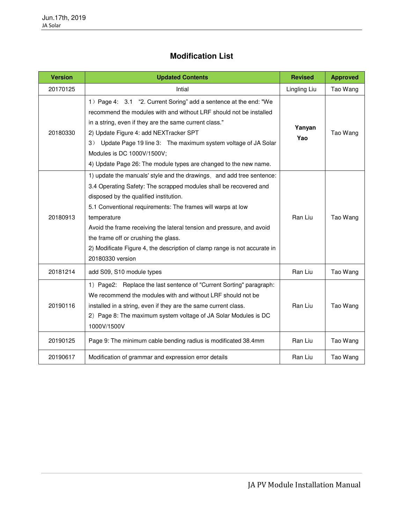### **Modification List**

| <b>Version</b> | <b>Updated Contents</b>                                                                                                                                                                                                                                                                                                                                                                                                                                                              | <b>Revised</b> | <b>Approved</b> |
|----------------|--------------------------------------------------------------------------------------------------------------------------------------------------------------------------------------------------------------------------------------------------------------------------------------------------------------------------------------------------------------------------------------------------------------------------------------------------------------------------------------|----------------|-----------------|
| 20170125       | Intial                                                                                                                                                                                                                                                                                                                                                                                                                                                                               | Lingling Liu   | Tao Wang        |
| 20180330       | 1) Page 4: 3.1 "2. Current Soring" add a sentence at the end: "We<br>recommend the modules with and without LRF should not be installed<br>in a string, even if they are the same current class."<br>2) Update Figure 4: add NEXTracker SPT<br>3)<br>Update Page 19 line 3: The maximum system voltage of JA Solar<br>Modules is DC 1000V/1500V;<br>4) Update Page 26: The module types are changed to the new name.                                                                 | Yanyan<br>Yao  | Tao Wang        |
| 20180913       | 1) update the manuals' style and the drawings, and add tree sentence:<br>3.4 Operating Safety: The scrapped modules shall be recovered and<br>disposed by the qualified institution.<br>5.1 Conventional requirements: The frames will warps at low<br>temperature<br>Avoid the frame receiving the lateral tension and pressure, and avoid<br>the frame off or crushing the glass.<br>2) Modificate Figure 4, the description of clamp range is not accurate in<br>20180330 version | Ran Liu        | Tao Wang        |
| 20181214       | add S09, S10 module types                                                                                                                                                                                                                                                                                                                                                                                                                                                            | Ran Liu        | Tao Wang        |
| 20190116       | 1) Page2: Replace the last sentence of "Current Sorting" paragraph:<br>We recommend the modules with and without LRF should not be<br>installed in a string, even if they are the same current class.<br>2) Page 8: The maximum system voltage of JA Solar Modules is DC<br>1000V/1500V                                                                                                                                                                                              | Ran Liu        | Tao Wang        |
| 20190125       | Page 9: The minimum cable bending radius is modificated 38.4mm                                                                                                                                                                                                                                                                                                                                                                                                                       | Ran Liu        | Tao Wang        |
| 20190617       | Modification of grammar and expression error details                                                                                                                                                                                                                                                                                                                                                                                                                                 | Ran Liu        | Tao Wang        |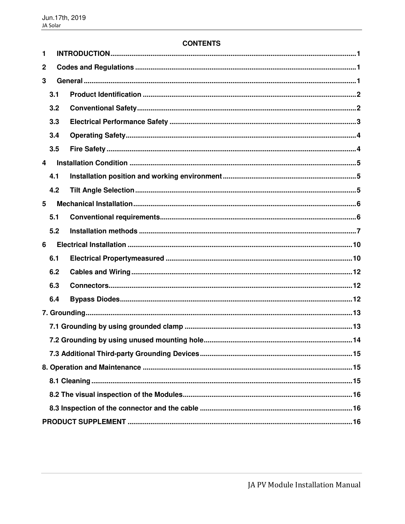### **CONTENTS**

| 1                |     |  |  |  |
|------------------|-----|--|--|--|
| $\boldsymbol{2}$ |     |  |  |  |
| 3                |     |  |  |  |
|                  | 3.1 |  |  |  |
|                  | 3.2 |  |  |  |
|                  | 3.3 |  |  |  |
|                  | 3.4 |  |  |  |
|                  | 3.5 |  |  |  |
| 4                |     |  |  |  |
|                  | 4.1 |  |  |  |
|                  | 4.2 |  |  |  |
| 5                |     |  |  |  |
|                  | 5.1 |  |  |  |
|                  | 5.2 |  |  |  |
| 6                |     |  |  |  |
|                  | 6.1 |  |  |  |
|                  | 6.2 |  |  |  |
|                  | 6.3 |  |  |  |
|                  | 6.4 |  |  |  |
|                  |     |  |  |  |
|                  |     |  |  |  |
|                  |     |  |  |  |
|                  |     |  |  |  |
|                  |     |  |  |  |
|                  |     |  |  |  |
|                  |     |  |  |  |
|                  |     |  |  |  |
|                  |     |  |  |  |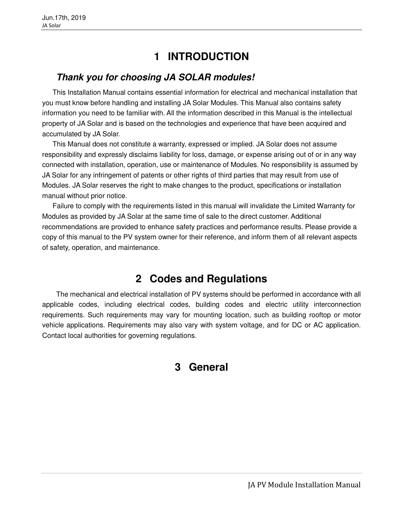# **1 INTRODUCTION**

### <span id="page-3-0"></span>**Thank you for choosing JA SOLAR modules!**

This Installation Manual contains essential information for electrical and mechanical installation that you must know before handling and installing JA Solar Modules. This Manual also contains safety information you need to be familiar with. All the information described in this Manual is the intellectual property of JA Solar and is based on the technologies and experience that have been acquired and accumulated by JA Solar.

This Manual does not constitute a warranty, expressed or implied. JA Solar does not assume responsibility and expressly disclaims liability for loss, damage, or expense arising out of or in any way connected with installation, operation, use or maintenance of Modules. No responsibility is assumed by JA Solar for any infringement of patents or other rights of third parties that may result from use of Modules. JA Solar reserves the right to make changes to the product, specifications or installation manual without prior notice.

Failure to comply with the requirements listed in this manual will invalidate the Limited Warranty for Modules as provided by JA Solar at the same time of sale to the direct customer. Additional recommendations are provided to enhance safety practices and performance results. Please provide a copy of this manual to the PV system owner for their reference, and inform them of all relevant aspects of safety, operation, and maintenance.

# **2 Codes and Regulations**

<span id="page-3-2"></span><span id="page-3-1"></span>The mechanical and electrical installation of PV systems should be performed in accordance with all applicable codes, including electrical codes, building codes and electric utility interconnection requirements. Such requirements may vary for mounting location, such as building rooftop or motor vehicle applications. Requirements may also vary with system voltage, and for DC or AC application. Contact local authorities for governing regulations.

### **3 General**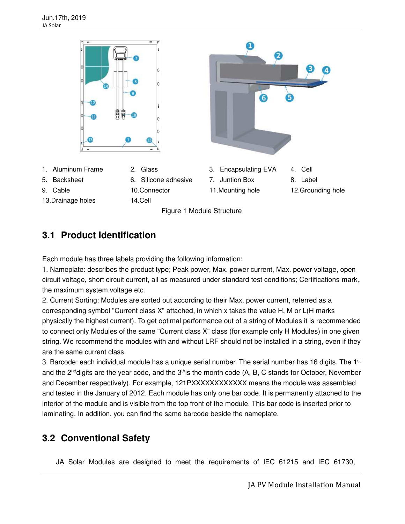



## <span id="page-4-0"></span>**3.1 Product Identification**

Each module has three labels providing the following information:

1. Nameplate: describes the product type; Peak power, Max. power current, Max. power voltage, open circuit voltage, short circuit current, all as measured under standard test conditions; Certifications mark, the maximum system voltage etc.

2. Current Sorting: Modules are sorted out according to their Max. power current, referred as a corresponding symbol "Current class X" attached, in which x takes the value H, M or L(H marks physically the highest current). To get optimal performance out of a string of Modules it is recommended to connect only Modules of the same "Current class X" class (for example only H Modules) in one given string. We recommend the modules with and without LRF should not be installed in a string, even if they are the same current class.

3. Barcode: each individual module has a unique serial number. The serial number has 16 digits. The  $1<sup>st</sup>$ and the 2<sup>nd</sup>digits are the year code, and the  $3<sup>th</sup>$ is the month code (A, B, C stands for October, November and December respectively). For example, 121PXXXXXXXXXXXX means the module was assembled and tested in the January of 2012. Each module has only one bar code. It is permanently attached to the interior of the module and is visible from the top front of the module. This bar code is inserted prior to laminating. In addition, you can find the same barcode beside the nameplate.

### <span id="page-4-1"></span>**3.2 Conventional Safety**

JA Solar Modules are designed to meet the requirements of IEC 61215 and IEC 61730,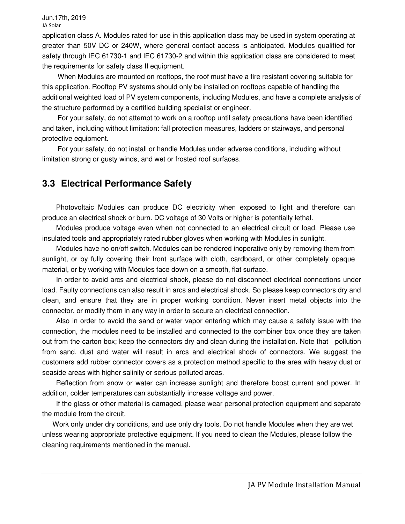application class A. Modules rated for use in this application class may be used in system operating at greater than 50V DC or 240W, where general contact access is anticipated. Modules qualified for safety through IEC 61730-1 and IEC 61730-2 and within this application class are considered to meet the requirements for safety class II equipment.

When Modules are mounted on rooftops, the roof must have a fire resistant covering suitable for this application. Rooftop PV systems should only be installed on rooftops capable of handling the additional weighted load of PV system components, including Modules, and have a complete analysis of the structure performed by a certified building specialist or engineer.

For your safety, do not attempt to work on a rooftop until safety precautions have been identified and taken, including without limitation: fall protection measures, ladders or stairways, and personal protective equipment.

For your safety, do not install or handle Modules under adverse conditions, including without limitation strong or gusty winds, and wet or frosted roof surfaces.

### <span id="page-5-0"></span>**3.3 Electrical Performance Safety**

Photovoltaic Modules can produce DC electricity when exposed to light and therefore can produce an electrical shock or burn. DC voltage of 30 Volts or higher is potentially lethal.

Modules produce voltage even when not connected to an electrical circuit or load. Please use insulated tools and appropriately rated rubber gloves when working with Modules in sunlight.

Modules have no on/off switch. Modules can be rendered inoperative only by removing them from sunlight, or by fully covering their front surface with cloth, cardboard, or other completely opaque material, or by working with Modules face down on a smooth, flat surface.

In order to avoid arcs and electrical shock, please do not disconnect electrical connections under load. Faulty connections can also result in arcs and electrical shock. So please keep connectors dry and clean, and ensure that they are in proper working condition. Never insert metal objects into the connector, or modify them in any way in order to secure an electrical connection.

Also in order to avoid the sand or water vapor entering which may cause a safety issue with the connection, the modules need to be installed and connected to the combiner box once they are taken out from the carton box; keep the connectors dry and clean during the installation. Note that pollution from sand, dust and water will result in arcs and electrical shock of connectors. We suggest the customers add rubber connector covers as a protection method specific to the area with heavy dust or seaside areas with higher salinity or serious polluted areas.

Reflection from snow or water can increase sunlight and therefore boost current and power. In addition, colder temperatures can substantially increase voltage and power.

If the glass or other material is damaged, please wear personal protection equipment and separate the module from the circuit.

 Work only under dry conditions, and use only dry tools. Do not handle Modules when they are wet unless wearing appropriate protective equipment. If you need to clean the Modules, please follow the cleaning requirements mentioned in the manual.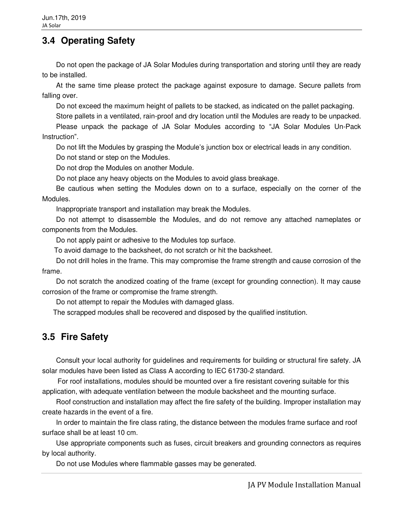### <span id="page-6-0"></span>**3.4 Operating Safety**

Do not open the package of JA Solar Modules during transportation and storing until they are ready to be installed.

At the same time please protect the package against exposure to damage. Secure pallets from falling over.

Do not exceed the maximum height of pallets to be stacked, as indicated on the pallet packaging.

Store pallets in a ventilated, rain-proof and dry location until the Modules are ready to be unpacked.

Please unpack the package of JA Solar Modules according to "JA Solar Modules Un-Pack Instruction".

Do not lift the Modules by grasping the Module's junction box or electrical leads in any condition. Do not stand or step on the Modules.

Do not drop the Modules on another Module.

Do not place any heavy objects on the Modules to avoid glass breakage.

Be cautious when setting the Modules down on to a surface, especially on the corner of the Modules.

Inappropriate transport and installation may break the Modules.

Do not attempt to disassemble the Modules, and do not remove any attached nameplates or components from the Modules.

Do not apply paint or adhesive to the Modules top surface.

To avoid damage to the backsheet, do not scratch or hit the backsheet.

Do not drill holes in the frame. This may compromise the frame strength and cause corrosion of the frame.

Do not scratch the anodized coating of the frame (except for grounding connection). It may cause corrosion of the frame or compromise the frame strength.

Do not attempt to repair the Modules with damaged glass.

The scrapped modules shall be recovered and disposed by the qualified institution.

### <span id="page-6-1"></span>**3.5 Fire Safety**

Consult your local authority for guidelines and requirements for building or structural fire safety. JA solar modules have been listed as Class A according to IEC 61730-2 standard.

 For roof installations, modules should be mounted over a fire resistant covering suitable for this application, with adequate ventilation between the module backsheet and the mounting surface.

Roof construction and installation may affect the fire safety of the building. Improper installation may create hazards in the event of a fire.

In order to maintain the fire class rating, the distance between the modules frame surface and roof surface shall be at least 10 cm.

Use appropriate components such as fuses, circuit breakers and grounding connectors as requires by local authority.

Do not use Modules where flammable gasses may be generated.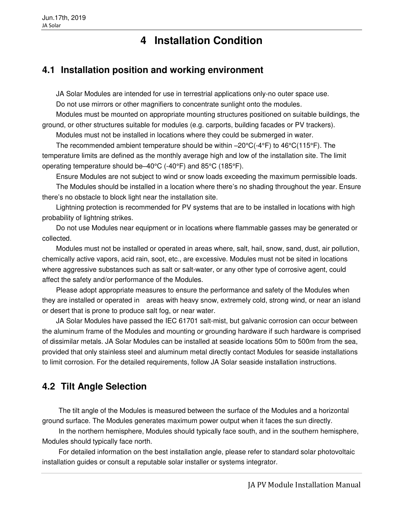# **4 Installation Condition**

### <span id="page-7-1"></span><span id="page-7-0"></span>**4.1 Installation position and working environment**

JA Solar Modules are intended for use in terrestrial applications only-no outer space use.

Do not use mirrors or other magnifiers to concentrate sunlight onto the modules.

Modules must be mounted on appropriate mounting structures positioned on suitable buildings, the ground, or other structures suitable for modules (e.g. carports, building facades or PV trackers).

Modules must not be installed in locations where they could be submerged in water.

The recommended ambient temperature should be within  $-20\degree C(-4\degree F)$  to  $46\degree C(115\degree F)$ . The temperature limits are defined as the monthly average high and low of the installation site. The limit operating temperature should be–40°C (-40°F) and 85°C (185°F).

Ensure Modules are not subject to wind or snow loads exceeding the maximum permissible loads.

The Modules should be installed in a location where there's no shading throughout the year. Ensure there's no obstacle to block light near the installation site.

Lightning protection is recommended for PV systems that are to be installed in locations with high probability of lightning strikes.

Do not use Modules near equipment or in locations where flammable gasses may be generated or collected.

Modules must not be installed or operated in areas where, salt, hail, snow, sand, dust, air pollution, chemically active vapors, acid rain, soot, etc., are excessive. Modules must not be sited in locations where aggressive substances such as salt or salt-water, or any other type of corrosive agent, could affect the safety and/or performance of the Modules.

Please adopt appropriate measures to ensure the performance and safety of the Modules when they are installed or operated in areas with heavy snow, extremely cold, strong wind, or near an island or desert that is prone to produce salt fog, or near water.

JA Solar Modules have passed the IEC 61701 salt-mist, but galvanic corrosion can occur between the aluminum frame of the Modules and mounting or grounding hardware if such hardware is comprised of dissimilar metals. JA Solar Modules can be installed at seaside locations 50m to 500m from the sea, provided that only stainless steel and aluminum metal directly contact Modules for seaside installations to limit corrosion. For the detailed requirements, follow JA Solar seaside installation instructions.

## <span id="page-7-2"></span>**4.2 Tilt Angle Selection**

The tilt angle of the Modules is measured between the surface of the Modules and a horizontal ground surface. The Modules generates maximum power output when it faces the sun directly.

In the northern hemisphere, Modules should typically face south, and in the southern hemisphere, Modules should typically face north.

For detailed information on the best installation angle, please refer to standard solar photovoltaic installation guides or consult a reputable solar installer or systems integrator.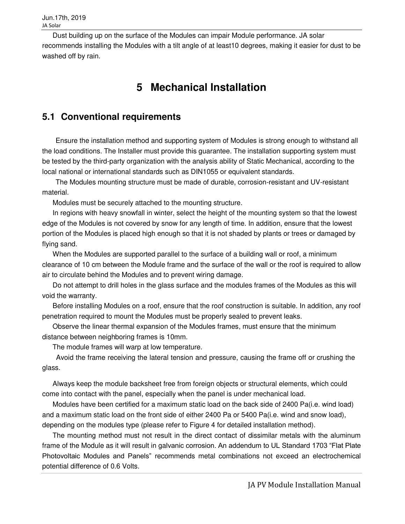<span id="page-8-0"></span>Dust building up on the surface of the Modules can impair Module performance. JA solar recommends installing the Modules with a tilt angle of at least10 degrees, making it easier for dust to be washed off by rain.

# **5 Mechanical Installation**

### <span id="page-8-1"></span>**5.1 Conventional requirements**

Ensure the installation method and supporting system of Modules is strong enough to withstand all the load conditions. The Installer must provide this guarantee. The installation supporting system must be tested by the third-party organization with the analysis ability of Static Mechanical, according to the local national or international standards such as DIN1055 or equivalent standards.

The Modules mounting structure must be made of durable, corrosion-resistant and UV-resistant material.

Modules must be securely attached to the mounting structure.

In regions with heavy snowfall in winter, select the height of the mounting system so that the lowest edge of the Modules is not covered by snow for any length of time. In addition, ensure that the lowest portion of the Modules is placed high enough so that it is not shaded by plants or trees or damaged by flying sand.

When the Modules are supported parallel to the surface of a building wall or roof, a minimum clearance of 10 cm between the Module frame and the surface of the wall or the roof is required to allow air to circulate behind the Modules and to prevent wiring damage.

Do not attempt to drill holes in the glass surface and the modules frames of the Modules as this will void the warranty.

Before installing Modules on a roof, ensure that the roof construction is suitable. In addition, any roof penetration required to mount the Modules must be properly sealed to prevent leaks.

Observe the linear thermal expansion of the Modules frames, must ensure that the minimum distance between neighboring frames is 10mm.

The module frames will warp at low temperature.

Avoid the frame receiving the lateral tension and pressure, causing the frame off or crushing the glass.

Always keep the module backsheet free from foreign objects or structural elements, which could come into contact with the panel, especially when the panel is under mechanical load.

Modules have been certified for a maximum static load on the back side of 2400 Pa(i.e. wind load) and a maximum static load on the front side of either 2400 Pa or 5400 Pa(i.e. wind and snow load), depending on the modules type (please refer to Figure 4 for detailed installation method).

The mounting method must not result in the direct contact of dissimilar metals with the aluminum frame of the Module as it will result in galvanic corrosion. An addendum to UL Standard 1703 "Flat Plate Photovoltaic Modules and Panels" recommends metal combinations not exceed an electrochemical potential difference of 0.6 Volts.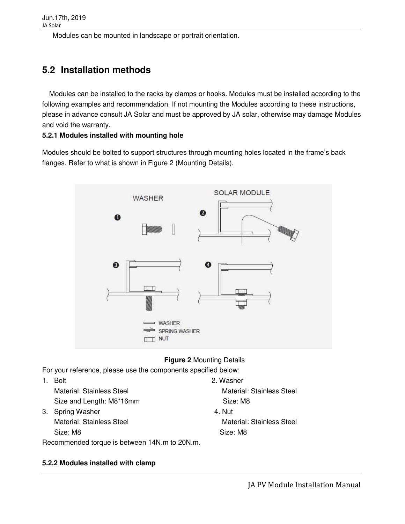Modules can be mounted in landscape or portrait orientation.

## <span id="page-9-0"></span>**5.2 Installation methods**

Modules can be installed to the racks by clamps or hooks. Modules must be installed according to the following examples and recommendation. If not mounting the Modules according to these instructions, please in advance consult JA Solar and must be approved by JA solar, otherwise may damage Modules and void the warranty.

### **5.2.1 Modules installed with mounting hole**

Modules should be bolted to support structures through mounting holes located in the frame's back flanges. Refer to what is shown in Figure 2 (Mounting Details).



### **Figure 2** Mounting Details

For your reference, please use the components specified below:

1. Bolt 2. Washer Material: Stainless Steel Material: Stainless Steel Size and Length: M8\*16mm Size: M8 3. Spring Washer 4. Nut Material: Stainless Steel Material: Stainless Steel Size: M8 Size: M8 Recommended torque is between 14N.m to 20N.m.

### **5.2.2 Modules installed with clamp**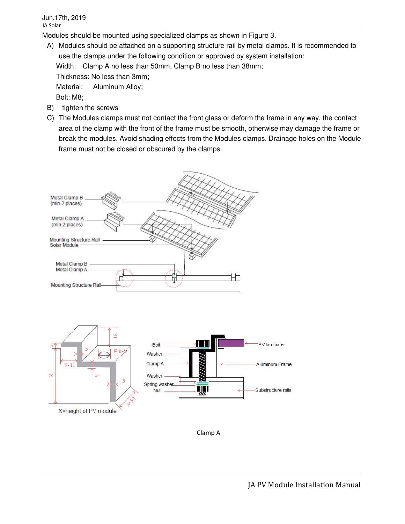Modules should be mounted using specialized clamps as shown in Figure 3.

- A) Modules should be attached on a supporting structure rail by metal clamps. It is recommended to use the clamps under the following condition or approved by system installation: Width: Clamp A no less than 50mm, Clamp B no less than 38mm; Thickness: No less than 3mm; Material: Aluminum Alloy; Bolt: M8;
- B) tighten the screws
- C) The Modules clamps must not contact the front glass or deform the frame in any way, the contact area of the clamp with the front of the frame must be smooth, otherwise may damage the frame or break the modules. Avoid shading effects from the Modules clamps. Drainage holes on the Module frame must not be closed or obscured by the clamps.





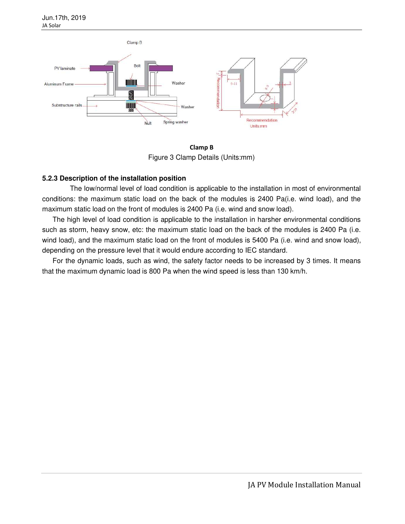

**Clamp B**  Figure 3 Clamp Details (Units:mm)

### **5.2.3 Description of the installation position**

 The low/normal level of load condition is applicable to the installation in most of environmental conditions: the maximum static load on the back of the modules is 2400 Pa(i.e. wind load), and the maximum static load on the front of modules is 2400 Pa (i.e. wind and snow load).

The high level of load condition is applicable to the installation in harsher environmental conditions such as storm, heavy snow, etc: the maximum static load on the back of the modules is 2400 Pa (i.e. wind load), and the maximum static load on the front of modules is 5400 Pa (i.e. wind and snow load), depending on the pressure level that it would endure according to IEC standard.

For the dynamic loads, such as wind, the safety factor needs to be increased by 3 times. It means that the maximum dynamic load is 800 Pa when the wind speed is less than 130 km/h.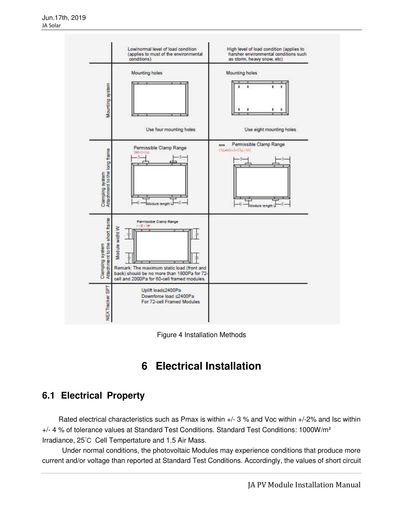



# **6 Electrical Installation**

### <span id="page-12-1"></span><span id="page-12-0"></span>**6.1 Electrical Property**

Rated electrical characteristics such as Pmax is within +/- 3 % and Voc within +/-2% and Isc within +/- 4 % of tolerance values at Standard Test Conditions. Standard Test Conditions: 1000W/m² Irradiance, 25℃ Cell Tempertature and 1.5 Air Mass.

 Under normal conditions, the photovoltaic Modules may experience conditions that produce more current and/or voltage than reported at Standard Test Conditions. Accordingly, the values of short circuit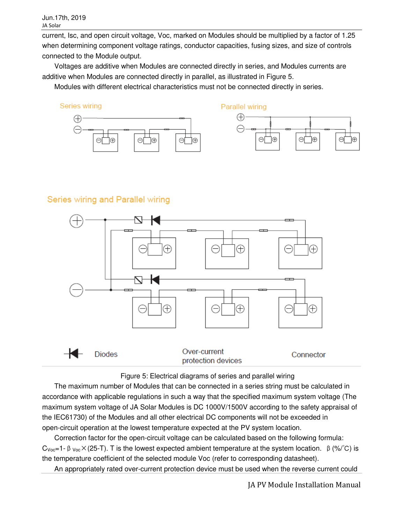current, Isc, and open circuit voltage, Voc, marked on Modules should be multiplied by a factor of 1.25 when determining component voltage ratings, conductor capacities, fusing sizes, and size of controls connected to the Module output.

Voltages are additive when Modules are connected directly in series, and Modules currents are additive when Modules are connected directly in parallel, as illustrated in Figure 5.

Modules with different electrical characteristics must not be connected directly in series.







### Series wiring and Parallel wiring





The maximum number of Modules that can be connected in a series string must be calculated in accordance with applicable regulations in such a way that the specified maximum system voltage (The maximum system voltage of JA Solar Modules is DC 1000V/1500V according to the safety appraisal of the IEC61730) of the Modules and all other electrical DC components will not be exceeded in open-circuit operation at the lowest temperature expected at the PV system location.

Correction factor for the open-circuit voltage can be calculated based on the following formula: C<sub>Voc</sub>=1-β<sub>Voc</sub>×(25-T). T is the lowest expected ambient temperature at the system location. β(%/°C) is the temperature coefficient of the selected module Voc (refer to corresponding datasheet).

An appropriately rated over-current protection device must be used when the reverse current could

JA PV Module Installation Manual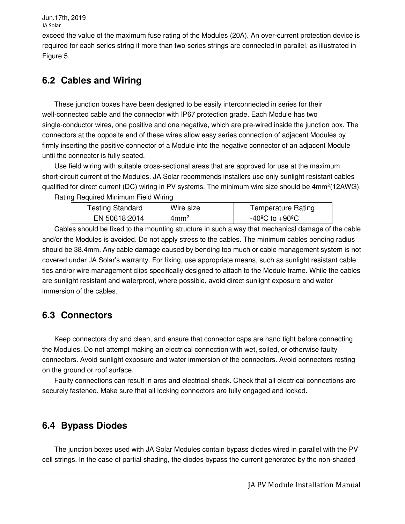exceed the value of the maximum fuse rating of the Modules (20A). An over-current protection device is required for each series string if more than two series strings are connected in parallel, as illustrated in Figure 5.

## <span id="page-14-0"></span>**6.2 Cables and Wiring**

These junction boxes have been designed to be easily interconnected in series for their well-connected cable and the connector with IP67 protection grade. Each Module has two single-conductor wires, one positive and one negative, which are pre-wired inside the junction box. The connectors at the opposite end of these wires allow easy series connection of adjacent Modules by firmly inserting the positive connector of a Module into the negative connector of an adjacent Module until the connector is fully seated.

Use field wiring with suitable cross-sectional areas that are approved for use at the maximum short-circuit current of the Modules. JA Solar recommends installers use only sunlight resistant cables qualified for direct current (DC) wiring in PV systems. The minimum wire size should be  $4mm^2(12AWG)$ .

Rating Required Minimum Field Wiring

| <b>Testing Standard</b> | Wire size       | <b>Temperature Rating</b> |
|-------------------------|-----------------|---------------------------|
| EN 50618:2014           | $4 \text{mm}^2$ | -40°C to +90°C.           |

Cables should be fixed to the mounting structure in such a way that mechanical damage of the cable and/or the Modules is avoided. Do not apply stress to the cables. The minimum cables bending radius should be 38.4mm. Any cable damage caused by bending too much or cable management system is not covered under JA Solar's warranty. For fixing, use appropriate means, such as sunlight resistant cable ties and/or wire management clips specifically designed to attach to the Module frame. While the cables are sunlight resistant and waterproof, where possible, avoid direct sunlight exposure and water immersion of the cables.

## <span id="page-14-1"></span>**6.3 Connectors**

Keep connectors dry and clean, and ensure that connector caps are hand tight before connecting the Modules. Do not attempt making an electrical connection with wet, soiled, or otherwise faulty connectors. Avoid sunlight exposure and water immersion of the connectors. Avoid connectors resting on the ground or roof surface.

Faulty connections can result in arcs and electrical shock. Check that all electrical connections are securely fastened. Make sure that all locking connectors are fully engaged and locked.

## <span id="page-14-2"></span>**6.4 Bypass Diodes**

The junction boxes used with JA Solar Modules contain bypass diodes wired in parallel with the PV cell strings. In the case of partial shading, the diodes bypass the current generated by the non-shaded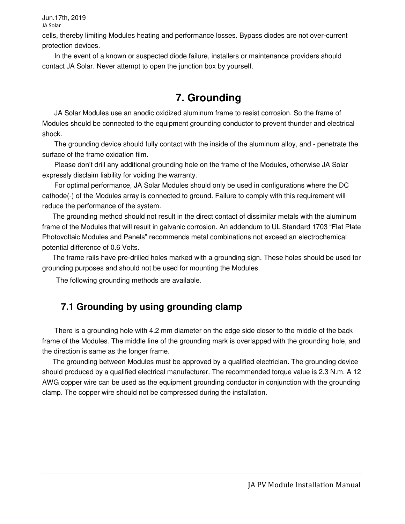Jun.17th, 2019 JA Solar

cells, thereby limiting Modules heating and performance losses. Bypass diodes are not over-current protection devices.

<span id="page-15-0"></span>In the event of a known or suspected diode failure, installers or maintenance providers should contact JA Solar. Never attempt to open the junction box by yourself.

# **7. Grounding**

JA Solar Modules use an anodic oxidized aluminum frame to resist corrosion. So the frame of Modules should be connected to the equipment grounding conductor to prevent thunder and electrical shock.

The grounding device should fully contact with the inside of the aluminum alloy, and - penetrate the surface of the frame oxidation film.

Please don't drill any additional grounding hole on the frame of the Modules, otherwise JA Solar expressly disclaim liability for voiding the warranty.

For optimal performance, JA Solar Modules should only be used in configurations where the DC cathode(-) of the Modules array is connected to ground. Failure to comply with this requirement will reduce the performance of the system.

The grounding method should not result in the direct contact of dissimilar metals with the aluminum frame of the Modules that will result in galvanic corrosion. An addendum to UL Standard 1703 "Flat Plate Photovoltaic Modules and Panels" recommends metal combinations not exceed an electrochemical potential difference of 0.6 Volts.

The frame rails have pre-drilled holes marked with a grounding sign. These holes should be used for grounding purposes and should not be used for mounting the Modules.

<span id="page-15-1"></span>The following grounding methods are available.

### **7.1 Grounding by using grounding clamp**

There is a grounding hole with 4.2 mm diameter on the edge side closer to the middle of the back frame of the Modules. The middle line of the grounding mark is overlapped with the grounding hole, and the direction is same as the longer frame.

The grounding between Modules must be approved by a qualified electrician. The grounding device should produced by a qualified electrical manufacturer. The recommended torque value is 2.3 N.m. A 12 AWG copper wire can be used as the equipment grounding conductor in conjunction with the grounding clamp. The copper wire should not be compressed during the installation.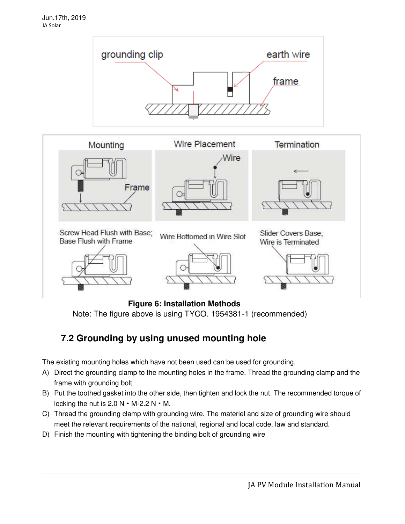



**Figure 6: Installation Methods** Note: The figure above is using TYCO. 1954381-1 (recommended)

## <span id="page-16-0"></span>**7.2 Grounding by using unused mounting hole**

The existing mounting holes which have not been used can be used for grounding.

- A) Direct the grounding clamp to the mounting holes in the frame. Thread the grounding clamp and the frame with grounding bolt.
- B) Put the toothed gasket into the other side, then tighten and lock the nut. The recommended torque of locking the nut is  $2.0 N \cdot M-2.2 N \cdot M$ .
- C) Thread the grounding clamp with grounding wire. The materiel and size of grounding wire should meet the relevant requirements of the national, regional and local code, law and standard.
- D) Finish the mounting with tightening the binding bolt of grounding wire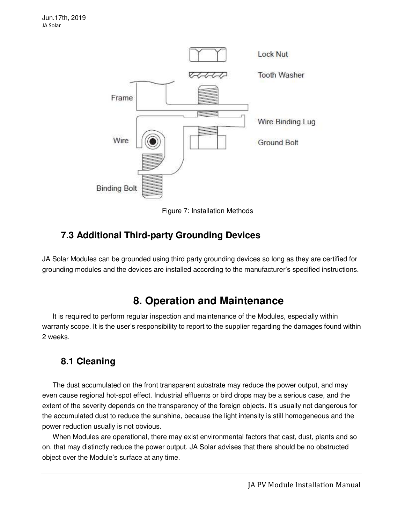

Figure 7: Installation Methods

### <span id="page-17-0"></span>**7.3 Additional Third-party Grounding Devices**

<span id="page-17-1"></span>JA Solar Modules can be grounded using third party grounding devices so long as they are certified for grounding modules and the devices are installed according to the manufacturer's specified instructions.

## **8. Operation and Maintenance**

It is required to perform regular inspection and maintenance of the Modules, especially within warranty scope. It is the user's responsibility to report to the supplier regarding the damages found within 2 weeks.

### <span id="page-17-2"></span>**8.1 Cleaning**

The dust accumulated on the front transparent substrate may reduce the power output, and may even cause regional hot-spot effect. Industrial effluents or bird drops may be a serious case, and the extent of the severity depends on the transparency of the foreign objects. It's usually not dangerous for the accumulated dust to reduce the sunshine, because the light intensity is still homogeneous and the power reduction usually is not obvious.

When Modules are operational, there may exist environmental factors that cast, dust, plants and so on, that may distinctly reduce the power output. JA Solar advises that there should be no obstructed object over the Module's surface at any time.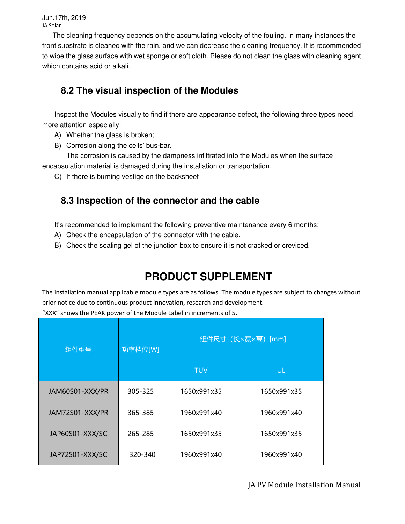The cleaning frequency depends on the accumulating velocity of the fouling. In many instances the front substrate is cleaned with the rain, and we can decrease the cleaning frequency. It is recommended to wipe the glass surface with wet sponge or soft cloth. Please do not clean the glass with cleaning agent which contains acid or alkali.

## <span id="page-18-0"></span>**8.2 The visual inspection of the Modules**

Inspect the Modules visually to find if there are appearance defect, the following three types need more attention especially:

- A) Whether the glass is broken;
- B) Corrosion along the cells' bus-bar.

The corrosion is caused by the dampness infiltrated into the Modules when the surface encapsulation material is damaged during the installation or transportation.

<span id="page-18-1"></span>C) If there is burning vestige on the backsheet

### **8.3 Inspection of the connector and the cable**

It's recommended to implement the following preventive maintenance every 6 months:

- A) Check the encapsulation of the connector with the cable.
- <span id="page-18-2"></span>B) Check the sealing gel of the junction box to ensure it is not cracked or creviced.

# **PRODUCT SUPPLEMENT**

The installation manual applicable module types are as follows. The module types are subject to changes without prior notice due to continuous product innovation, research and development.

"XXX" shows the PEAK power of the Module Label in increments of 5.

| 组件型号            | 功率档位[W] | 组件尺寸 (长×宽×高) [mm] |             |  |
|-----------------|---------|-------------------|-------------|--|
|                 |         | <b>TUV</b>        | <b>UL</b>   |  |
| JAM60S01-XXX/PR | 305-325 | 1650x991x35       | 1650x991x35 |  |
| JAM72S01-XXX/PR | 365-385 | 1960x991x40       | 1960x991x40 |  |
| JAP60S01-XXX/SC | 265-285 | 1650x991x35       | 1650x991x35 |  |
| JAP72S01-XXX/SC | 320-340 | 1960x991x40       | 1960x991x40 |  |